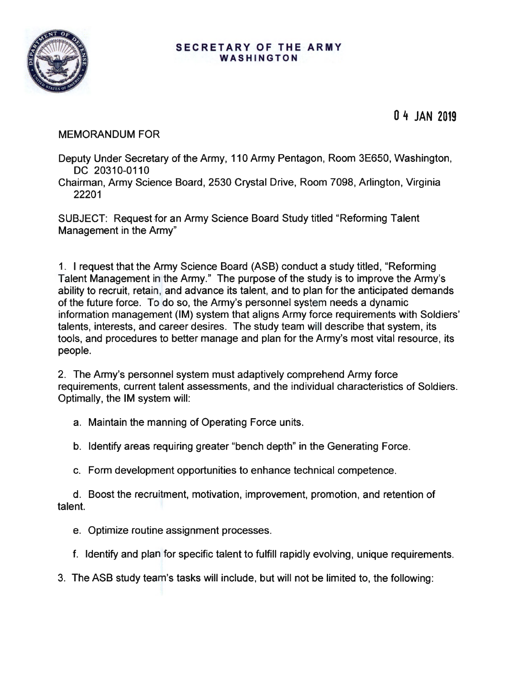

## **SECRETARY OF THE ARMY WASHINGTON**

**0 4 JAN 2019** 

MEMORANDUM FOR

Deputy Under Secretary of the Army, 110 Army Pentagon, Room 3E650, Washington, DC 20310-0110

Chairman, Army Science Board, 2530 Crystal Drive, Room 7098, Arlington, Virginia 22201

SUBJECT: Request for an Army Science Board Study titled "Reforming Talent Management in the Army"

1. I request that the Army Science Board (ASB) conduct a study titled, "Reforming Talent Management in the Army." The purpose of the study is to improve the Army's ability to recruit, retain, and advance its talent, and to plan for the anticipated demands of the future force. To do so, the Army's personnel system needs a dynamic information management (IM) system that aligns Army force requirements with Soldiers' talents, interests, and career desires. The study team will describe that system, its tools, and procedures to better manage and plan for the Army's most vital resource, its people.

2. The Army's personnel system must adaptively comprehend Army force requirements, current talent assessments, and the individual characteristics of Soldiers. Optimally, the IM system will:

a. Maintain the manning of Operating Force units.

b. Identify areas requiring greater "bench depth" in the Generating Force.

c. Form development opportunities to enhance technical competence.

d. Boost the recruitment, motivation, improvement, promotion, and retention of talent.

e. Optimize routine assignment processes.

f. Identify and plan for specific talent to fulfill rapidly evolving, unique requirements.

3. The ASB study team's tasks will include, but will not be limited to, the following: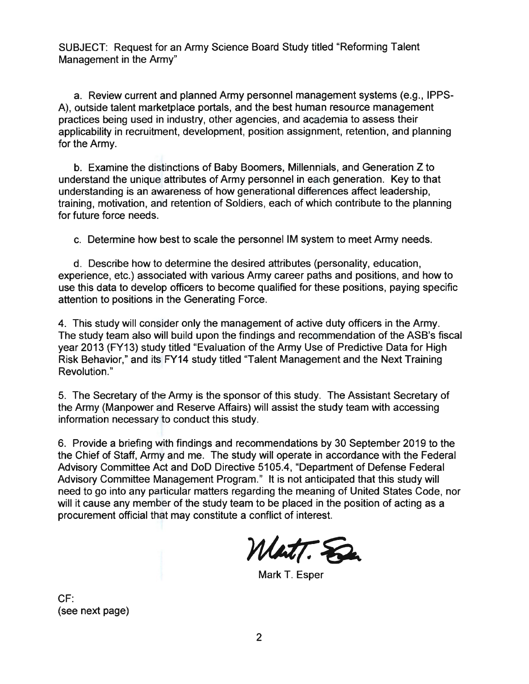SUBJECT: Request for an Army Science Board Study titled "Reforming Talent Management in the Army"

a. Review current and planned Army personnel management systems (e.g. , IPPS-A), outside talent marketplace portals, and the best human resource management practices being used in industry, other agencies, and academia to assess their applicability in recruitment, development, position assignment, retention, and planning for the Army.

b. Examine the distinctions of Baby Boomers, Millennials, and Generation Z to understand the unique attributes of Army personnel in each generation. Key to that understanding is an awareness of how generational differences affect leadership, training, motivation, and retention of Soldiers, each of which contribute to the planning for future force needs.

c. Determine how best to scale the personnel IM system to meet Army needs.

d. Describe how to determine the desired attributes (personality, education, experience, etc.) associated with various Army career paths and positions, and how to use this data to develop officers to become qualified for these positions, paying specific attention to positions in the Generating Force.

4. This study will consider only the management of active duty officers in the Army. The study team also will build upon the findings and recommendation of the ASB's fiscal year 2013 (FY13) study titled "Evaluation of the Army Use of Predictive Data for High Risk Behavior," and its FY14 study titled "Talent Management and the Next Training Revolution."

5. The Secretary of the Army is the sponsor of this study. The Assistant Secretary of the Army (Manpower and Reserve Affairs) will assist the study team with accessing information necessary to conduct this study.

6. Provide a briefing with findings and recommendations by 30 September 2019 to the the Chief of Staff, Army and me. The study will operate in accordance with the Federal Advisory Committee Act and DoD Directive 5105.4, "Department of Defense Federal Advisory Committee Management Program." It is not anticipated that this study will need to go into any particular matters regarding the meaning of United States Code, nor will it cause any member of the study team to be placed in the position of acting as a procurement official that may constitute a conflict of interest.

Watt. S

Mark T. Esper

CF: (see next page)